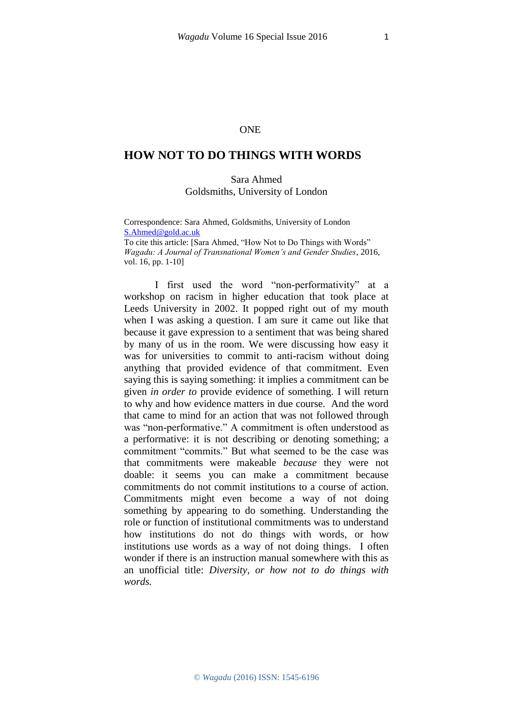## **ONE**

## **HOW NOT TO DO THINGS WITH WORDS**

## Sara Ahmed Goldsmiths, University of London

Correspondence: Sara Ahmed, Goldsmiths, University of London [S.Ahmed@gold.ac.uk](javascript:void(window.open()

To cite this article: [Sara Ahmed, "How Not to Do Things with Words" *Wagadu: A Journal of Transnational Women's and Gender Studies*, 2016, vol. 16, pp. 1-10]

I first used the word "non-performativity" at a workshop on racism in higher education that took place at Leeds University in 2002. It popped right out of my mouth when I was asking a question. I am sure it came out like that because it gave expression to a sentiment that was being shared by many of us in the room. We were discussing how easy it was for universities to commit to anti-racism without doing anything that provided evidence of that commitment. Even saying this is saying something: it implies a commitment can be given *in order to* provide evidence of something. I will return to why and how evidence matters in due course. And the word that came to mind for an action that was not followed through was "non-performative." A commitment is often understood as a performative: it is not describing or denoting something; a commitment "commits." But what seemed to be the case was that commitments were makeable *because* they were not doable: it seems you can make a commitment because commitments do not commit institutions to a course of action. Commitments might even become a way of not doing something by appearing to do something. Understanding the role or function of institutional commitments was to understand how institutions do not do things with words*,* or how institutions use words as a way of not doing things*.* I often wonder if there is an instruction manual somewhere with this as an unofficial title: *Diversity, or how not to do things with words.*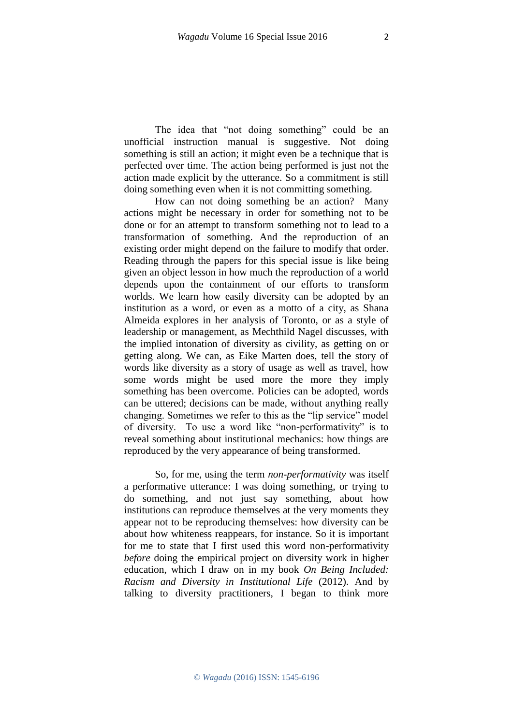The idea that "not doing something" could be an unofficial instruction manual is suggestive. Not doing something is still an action; it might even be a technique that is perfected over time. The action being performed is just not the action made explicit by the utterance. So a commitment is still doing something even when it is not committing something.

How can not doing something be an action? Many actions might be necessary in order for something not to be done or for an attempt to transform something not to lead to a transformation of something. And the reproduction of an existing order might depend on the failure to modify that order. Reading through the papers for this special issue is like being given an object lesson in how much the reproduction of a world depends upon the containment of our efforts to transform worlds. We learn how easily diversity can be adopted by an institution as a word, or even as a motto of a city, as Shana Almeida explores in her analysis of Toronto, or as a style of leadership or management, as Mechthild Nagel discusses, with the implied intonation of diversity as civility, as getting on or getting along. We can, as Eike Marten does, tell the story of words like diversity as a story of usage as well as travel, how some words might be used more the more they imply something has been overcome. Policies can be adopted, words can be uttered; decisions can be made, without anything really changing. Sometimes we refer to this as the "lip service" model of diversity. To use a word like "non-performativity" is to reveal something about institutional mechanics: how things are reproduced by the very appearance of being transformed.

So, for me, using the term *non-performativity* was itself a performative utterance: I was doing something, or trying to do something, and not just say something, about how institutions can reproduce themselves at the very moments they appear not to be reproducing themselves: how diversity can be about how whiteness reappears, for instance. So it is important for me to state that I first used this word non-performativity *before* doing the empirical project on diversity work in higher education, which I draw on in my book *On Being Included: Racism and Diversity in Institutional Life* (2012). And by talking to diversity practitioners, I began to think more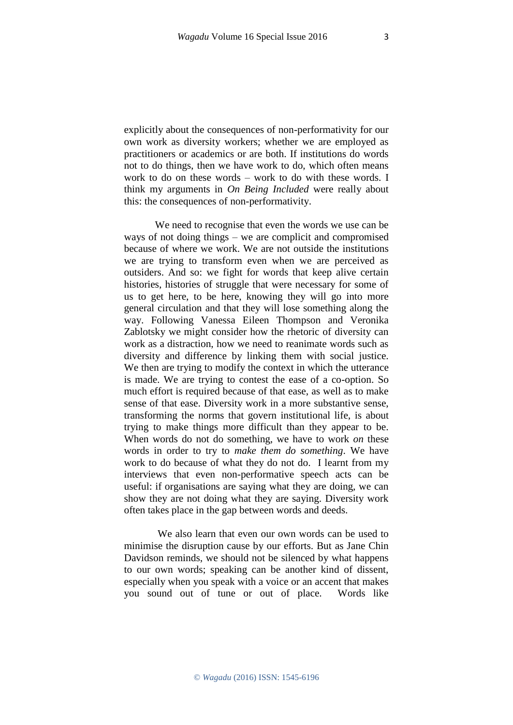explicitly about the consequences of non-performativity for our own work as diversity workers; whether we are employed as practitioners or academics or are both. If institutions do words not to do things, then we have work to do, which often means work to do on these words – work to do with these words. I think my arguments in *On Being Included* were really about this: the consequences of non-performativity.

We need to recognise that even the words we use can be ways of not doing things – we are complicit and compromised because of where we work. We are not outside the institutions we are trying to transform even when we are perceived as outsiders. And so: we fight for words that keep alive certain histories, histories of struggle that were necessary for some of us to get here, to be here, knowing they will go into more general circulation and that they will lose something along the way. Following Vanessa Eileen Thompson and Veronika Zablotsky we might consider how the rhetoric of diversity can work as a distraction, how we need to reanimate words such as diversity and difference by linking them with social justice. We then are trying to modify the context in which the utterance is made. We are trying to contest the ease of a co-option. So much effort is required because of that ease, as well as to make sense of that ease. Diversity work in a more substantive sense, transforming the norms that govern institutional life, is about trying to make things more difficult than they appear to be. When words do not do something, we have to work *on* these words in order to try to *make them do something*. We have work to do because of what they do not do. I learnt from my interviews that even non-performative speech acts can be useful: if organisations are saying what they are doing, we can show they are not doing what they are saying. Diversity work often takes place in the gap between words and deeds.

We also learn that even our own words can be used to minimise the disruption cause by our efforts. But as Jane Chin Davidson reminds, we should not be silenced by what happens to our own words; speaking can be another kind of dissent, especially when you speak with a voice or an accent that makes you sound out of tune or out of place. Words like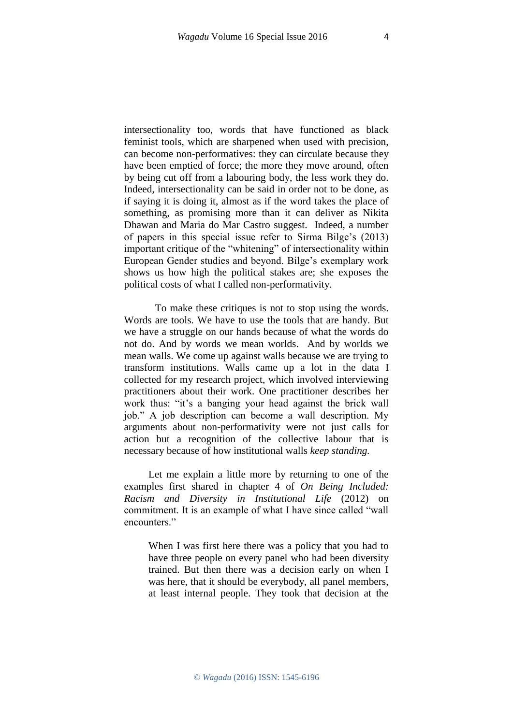intersectionality too, words that have functioned as black feminist tools, which are sharpened when used with precision, can become non-performatives: they can circulate because they have been emptied of force; the more they move around, often by being cut off from a labouring body, the less work they do. Indeed, intersectionality can be said in order not to be done, as if saying it is doing it, almost as if the word takes the place of something, as promising more than it can deliver as Nikita Dhawan and Maria do Mar Castro suggest. Indeed, a number of papers in this special issue refer to Sirma Bilge's (2013) important critique of the "whitening" of intersectionality within European Gender studies and beyond. Bilge's exemplary work shows us how high the political stakes are; she exposes the political costs of what I called non-performativity.

To make these critiques is not to stop using the words. Words are tools. We have to use the tools that are handy. But we have a struggle on our hands because of what the words do not do. And by words we mean worlds. And by worlds we mean walls. We come up against walls because we are trying to transform institutions. Walls came up a lot in the data I collected for my research project, which involved interviewing practitioners about their work. One practitioner describes her work thus: "it's a banging your head against the brick wall job." A job description can become a wall description. My arguments about non-performativity were not just calls for action but a recognition of the collective labour that is necessary because of how institutional walls *keep standing.*

Let me explain a little more by returning to one of the examples first shared in chapter 4 of *On Being Included: Racism and Diversity in Institutional Life* (2012) on commitment. It is an example of what I have since called "wall encounters."

When I was first here there was a policy that you had to have three people on every panel who had been diversity trained. But then there was a decision early on when I was here, that it should be everybody, all panel members, at least internal people. They took that decision at the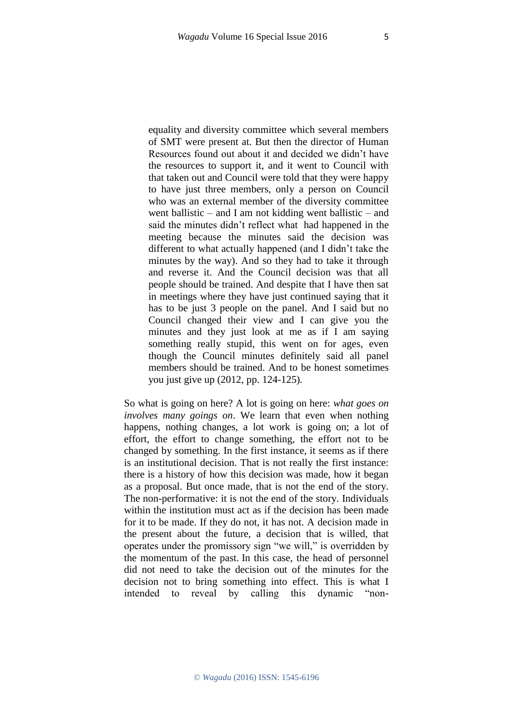equality and diversity committee which several members of SMT were present at. But then the director of Human Resources found out about it and decided we didn't have the resources to support it, and it went to Council with that taken out and Council were told that they were happy to have just three members, only a person on Council who was an external member of the diversity committee went ballistic – and I am not kidding went ballistic – and said the minutes didn't reflect what had happened in the meeting because the minutes said the decision was different to what actually happened (and I didn't take the minutes by the way). And so they had to take it through and reverse it. And the Council decision was that all people should be trained. And despite that I have then sat in meetings where they have just continued saying that it has to be just 3 people on the panel. And I said but no Council changed their view and I can give you the minutes and they just look at me as if I am saying something really stupid, this went on for ages, even though the Council minutes definitely said all panel members should be trained. And to be honest sometimes you just give up (2012, pp. 124-125)*.* 

So what is going on here? A lot is going on here: *what goes on involves many goings on*. We learn that even when nothing happens, nothing changes, a lot work is going on; a lot of effort, the effort to change something, the effort not to be changed by something. In the first instance, it seems as if there is an institutional decision. That is not really the first instance: there is a history of how this decision was made, how it began as a proposal. But once made, that is not the end of the story. The non-performative: it is not the end of the story. Individuals within the institution must act as if the decision has been made for it to be made. If they do not, it has not. A decision made in the present about the future, a decision that is willed, that operates under the promissory sign "we will," is overridden by the momentum of the past. In this case, the head of personnel did not need to take the decision out of the minutes for the decision not to bring something into effect. This is what I intended to reveal by calling this dynamic "non-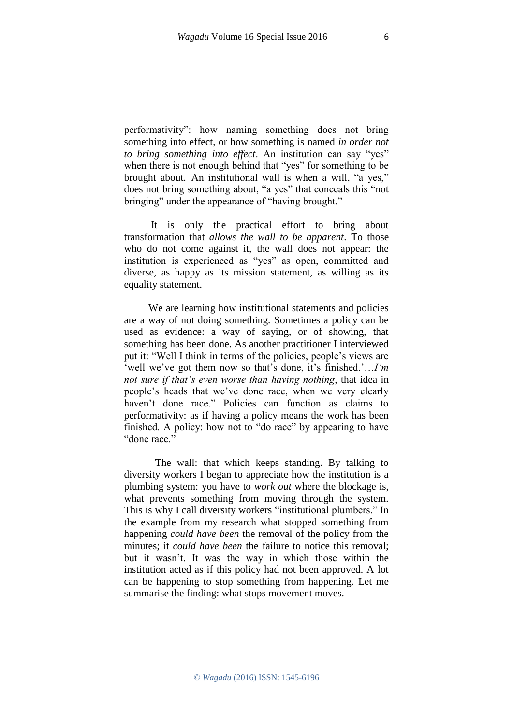performativity": how naming something does not bring something into effect, or how something is named *in order not to bring something into effect*. An institution can say "yes" when there is not enough behind that "yes" for something to be brought about. An institutional wall is when a will, "a yes," does not bring something about, "a yes" that conceals this "not bringing" under the appearance of "having brought."

It is only the practical effort to bring about transformation that *allows the wall to be apparent*. To those who do not come against it, the wall does not appear: the institution is experienced as "yes" as open, committed and diverse, as happy as its mission statement, as willing as its equality statement.

We are learning how institutional statements and policies are a way of not doing something. Sometimes a policy can be used as evidence: a way of saying, or of showing, that something has been done. As another practitioner I interviewed put it: "Well I think in terms of the policies, people's views are 'well we've got them now so that's done, it's finished.'…*I'm not sure if that's even worse than having nothing*, that idea in people's heads that we've done race, when we very clearly haven't done race." Policies can function as claims to performativity: as if having a policy means the work has been finished. A policy: how not to "do race" by appearing to have "done race."

The wall: that which keeps standing. By talking to diversity workers I began to appreciate how the institution is a plumbing system: you have to *work out* where the blockage is, what prevents something from moving through the system. This is why I call diversity workers "institutional plumbers." In the example from my research what stopped something from happening *could have been* the removal of the policy from the minutes; it *could have been* the failure to notice this removal; but it wasn't. It was the way in which those within the institution acted as if this policy had not been approved. A lot can be happening to stop something from happening. Let me summarise the finding: what stops movement moves.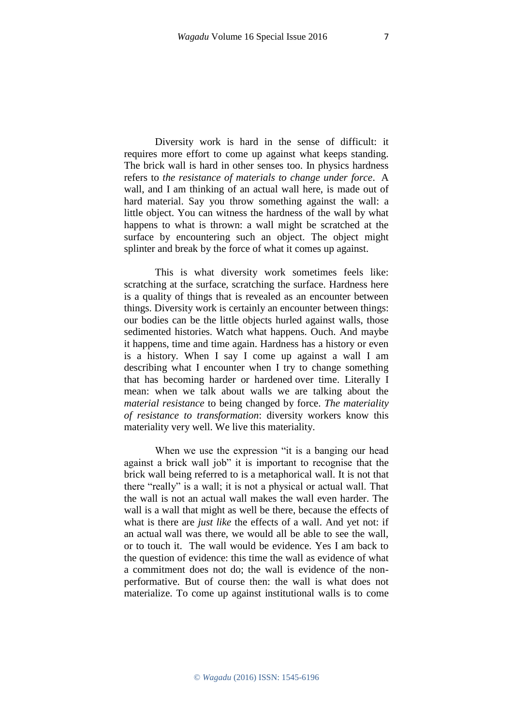Diversity work is hard in the sense of difficult: it requires more effort to come up against what keeps standing. The brick wall is hard in other senses too. In physics hardness refers to *the resistance of materials to change under force*. A wall, and I am thinking of an actual wall here, is made out of hard material. Say you throw something against the wall: a little object. You can witness the hardness of the wall by what happens to what is thrown: a wall might be scratched at the surface by encountering such an object. The object might splinter and break by the force of what it comes up against.

This is what diversity work sometimes feels like: scratching at the surface, scratching the surface. Hardness here is a quality of things that is revealed as an encounter between things. Diversity work is certainly an encounter between things: our bodies can be the little objects hurled against walls, those sedimented histories. Watch what happens. Ouch. And maybe it happens, time and time again. Hardness has a history or even is a history. When I say I come up against a wall I am describing what I encounter when I try to change something that has becoming harder or hardened over time. Literally I mean: when we talk about walls we are talking about the *material resistance* to being changed by force. *The materiality of resistance to transformation*: diversity workers know this materiality very well. We live this materiality.

When we use the expression "it is a banging our head against a brick wall job" it is important to recognise that the brick wall being referred to is a metaphorical wall. It is not that there "really" is a wall; it is not a physical or actual wall. That the wall is not an actual wall makes the wall even harder. The wall is a wall that might as well be there, because the effects of what is there are *just like* the effects of a wall. And yet not: if an actual wall was there, we would all be able to see the wall, or to touch it. The wall would be evidence. Yes I am back to the question of evidence: this time the wall as evidence of what a commitment does not do; the wall is evidence of the nonperformative. But of course then: the wall is what does not materialize. To come up against institutional walls is to come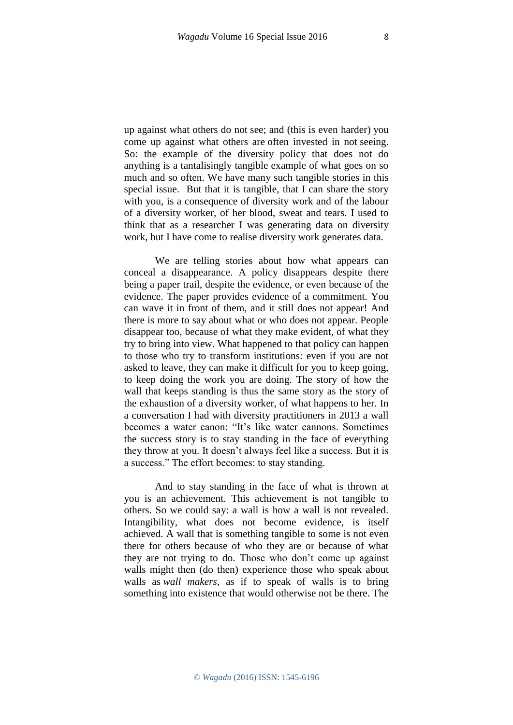up against what others do not see; and (this is even harder) you come up against what others are often invested in not seeing. So: the example of the diversity policy that does not do anything is a tantalisingly tangible example of what goes on so much and so often. We have many such tangible stories in this special issue. But that it is tangible, that I can share the story with you, is a consequence of diversity work and of the labour of a diversity worker, of her blood, sweat and tears. I used to think that as a researcher I was generating data on diversity work, but I have come to realise diversity work generates data.

We are telling stories about how what appears can conceal a disappearance. A policy disappears despite there being a paper trail, despite the evidence, or even because of the evidence. The paper provides evidence of a commitment. You can wave it in front of them, and it still does not appear! And there is more to say about what or who does not appear. People disappear too, because of what they make evident, of what they try to bring into view. What happened to that policy can happen to those who try to transform institutions: even if you are not asked to leave, they can make it difficult for you to keep going, to keep doing the work you are doing. The story of how the wall that keeps standing is thus the same story as the story of the exhaustion of a diversity worker, of what happens to her. In a conversation I had with diversity practitioners in 2013 a wall becomes a water canon: "It's like water cannons. Sometimes the success story is to stay standing in the face of everything they throw at you. It doesn't always feel like a success. But it is a success." The effort becomes: to stay standing.

And to stay standing in the face of what is thrown at you is an achievement. This achievement is not tangible to others. So we could say: a wall is how a wall is not revealed. Intangibility, what does not become evidence, is itself achieved. A wall that is something tangible to some is not even there for others because of who they are or because of what they are not trying to do. Those who don't come up against walls might then (do then) experience those who speak about walls as *wall makers*, as if to speak of walls is to bring something into existence that would otherwise not be there. The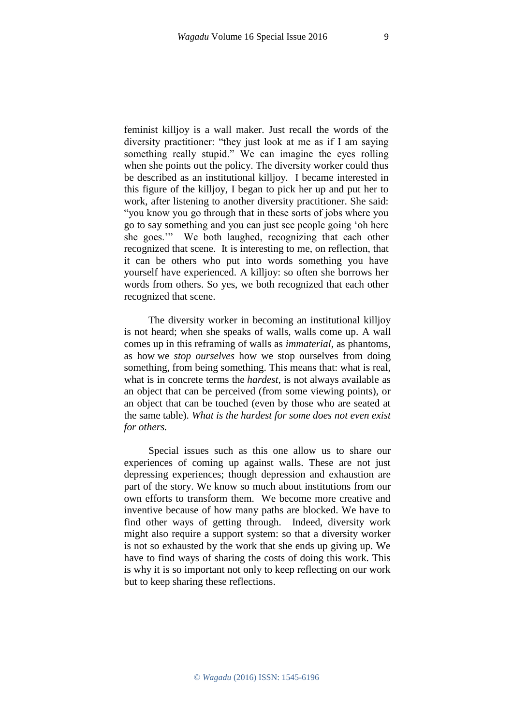feminist killjoy is a wall maker. Just recall the words of the diversity practitioner: "they just look at me as if I am saying something really stupid." We can imagine the eyes rolling when she points out the policy. The diversity worker could thus be described as an institutional killjoy. I became interested in this figure of the killjoy, I began to pick her up and put her to work, after listening to another diversity practitioner. She said: "you know you go through that in these sorts of jobs where you go to say something and you can just see people going 'oh here she goes.'" We both laughed, recognizing that each other recognized that scene. It is interesting to me, on reflection, that it can be others who put into words something you have yourself have experienced. A killjoy: so often she borrows her words from others. So yes, we both recognized that each other recognized that scene.

The diversity worker in becoming an institutional killjoy is not heard; when she speaks of walls, walls come up. A wall comes up in this reframing of walls as *immaterial,* as phantoms, as how we *stop ourselves* how we stop ourselves from doing something, from being something. This means that: what is real, what is in concrete terms the *hardest,* is not always available as an object that can be perceived (from some viewing points), or an object that can be touched (even by those who are seated at the same table). *What is the hardest for some does not even exist for others.* 

Special issues such as this one allow us to share our experiences of coming up against walls. These are not just depressing experiences; though depression and exhaustion are part of the story. We know so much about institutions from our own efforts to transform them. We become more creative and inventive because of how many paths are blocked. We have to find other ways of getting through. Indeed, diversity work might also require a support system: so that a diversity worker is not so exhausted by the work that she ends up giving up. We have to find ways of sharing the costs of doing this work. This is why it is so important not only to keep reflecting on our work but to keep sharing these reflections.